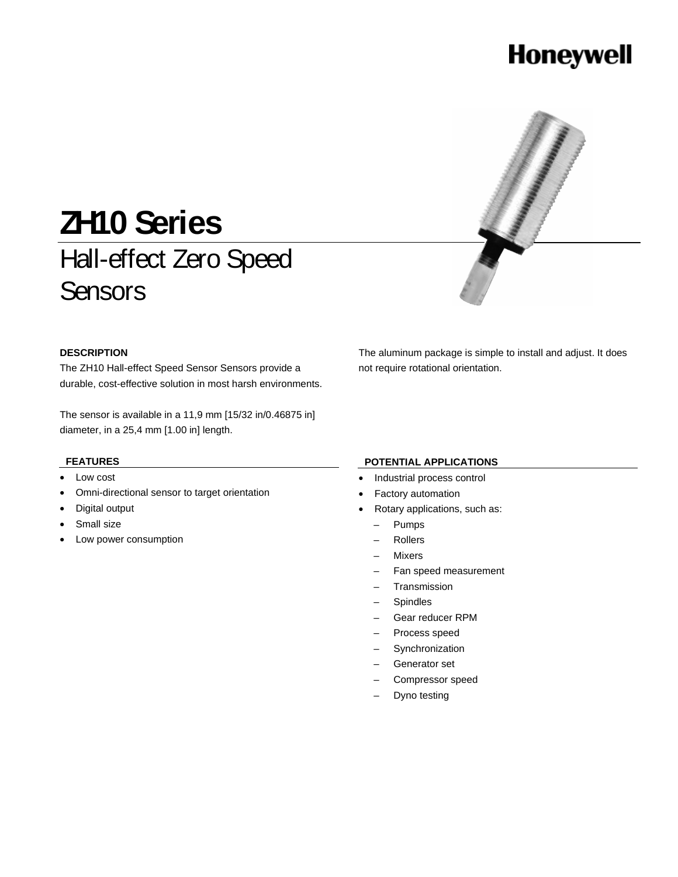# **Honeywell**



# **ZH10 Series**  Hall-effect Zero Speed **Sensors**

#### **DESCRIPTION**

The ZH10 Hall-effect Speed Sensor Sensors provide a durable, cost-effective solution in most harsh environments.

The sensor is available in a 11,9 mm [15/32 in/0.46875 in] diameter, in a 25,4 mm [1.00 in] length.

#### **FEATURES**

- Low cost
- Omni-directional sensor to target orientation
- Digital output
- Small size
- Low power consumption

The aluminum package is simple to install and adjust. It does not require rotational orientation.

#### **POTENTIAL APPLICATIONS**

- Industrial process control
- Factory automation
- Rotary applications, such as:
	- Pumps
	- Rollers
	- Mixers
	- Fan speed measurement
	- Transmission
	- Spindles
	- Gear reducer RPM
	- Process speed
	- Synchronization
	- Generator set
	- Compressor speed
	- Dyno testing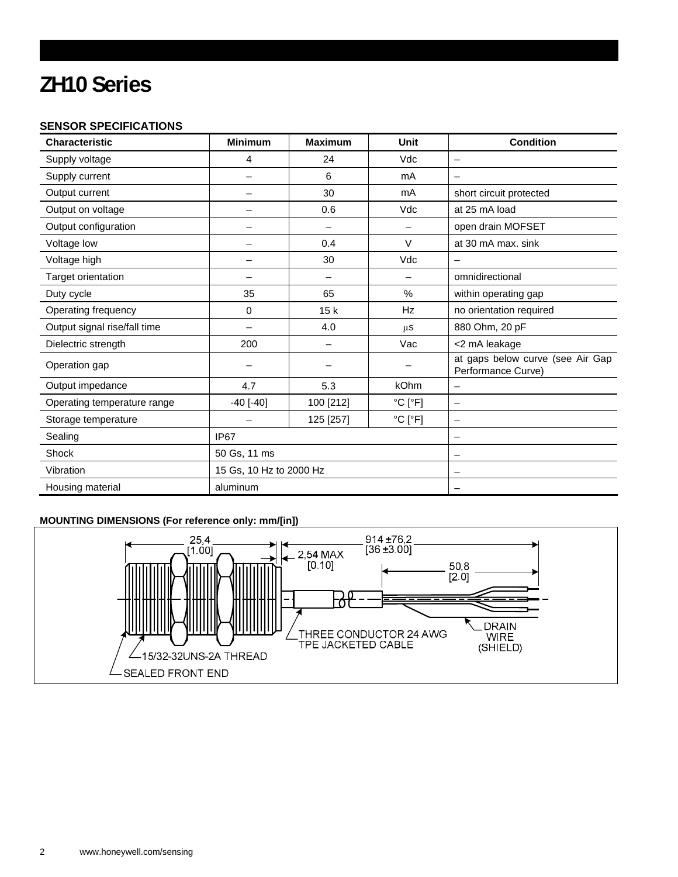## **ZH10 Series**

#### **SENSOR SPECIFICATIONS**

| <b>Characteristic</b>        | <b>Minimum</b>          | <b>Maximum</b> | <b>Unit</b>                  | <b>Condition</b>                                       |
|------------------------------|-------------------------|----------------|------------------------------|--------------------------------------------------------|
| Supply voltage               | 4                       | 24             | Vdc                          | $\overline{\phantom{0}}$                               |
| Supply current               |                         | 6              | mA                           |                                                        |
| Output current               |                         | 30             | mA                           | short circuit protected                                |
| Output on voltage            |                         | 0.6            | Vdc                          | at 25 mA load                                          |
| Output configuration         |                         |                |                              | open drain MOFSET                                      |
| Voltage low                  |                         | 0.4            | $\vee$                       | at 30 mA max. sink                                     |
| Voltage high                 |                         | 30             | Vdc                          | $\overline{\phantom{m}}$                               |
| Target orientation           |                         |                |                              | omnidirectional                                        |
| Duty cycle                   | 35                      | 65             | %                            | within operating gap                                   |
| Operating frequency          | 0                       | 15k            | Hz                           | no orientation required                                |
| Output signal rise/fall time |                         | 4.0            | μS                           | 880 Ohm, 20 pF                                         |
| Dielectric strength          | 200                     |                | Vac                          | <2 mA leakage                                          |
| Operation gap                |                         |                |                              | at gaps below curve (see Air Gap<br>Performance Curve) |
| Output impedance             | 4.7                     | 5.3            | kOhm                         | $\overline{\phantom{0}}$                               |
| Operating temperature range  | $-40$ [ $-40$ ]         | 100 [212]      | $^{\circ}$ C [ $^{\circ}$ F] | $\overline{\phantom{0}}$                               |
| Storage temperature          |                         | 125 [257]      | $^{\circ}$ C [ $^{\circ}$ F] |                                                        |
| Sealing                      | IP <sub>67</sub>        |                |                              | -                                                      |
| Shock                        | 50 Gs, 11 ms            |                |                              |                                                        |
| Vibration                    | 15 Gs, 10 Hz to 2000 Hz |                |                              | -                                                      |
| Housing material             | aluminum                |                |                              |                                                        |

#### **MOUNTING DIMENSIONS (For reference only: mm/[in])**

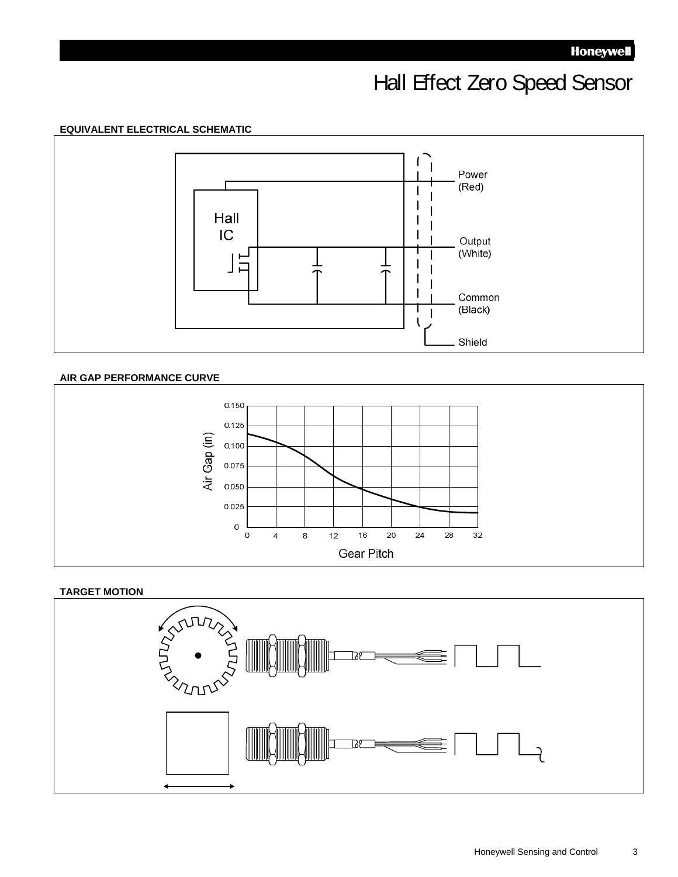## Hall Effect Zero Speed Sensor

#### **EQUIVALENT ELECTRICAL SCHEMATIC**



#### **AIR GAP PERFORMANCE CURVE**



#### **TARGET MOTION**